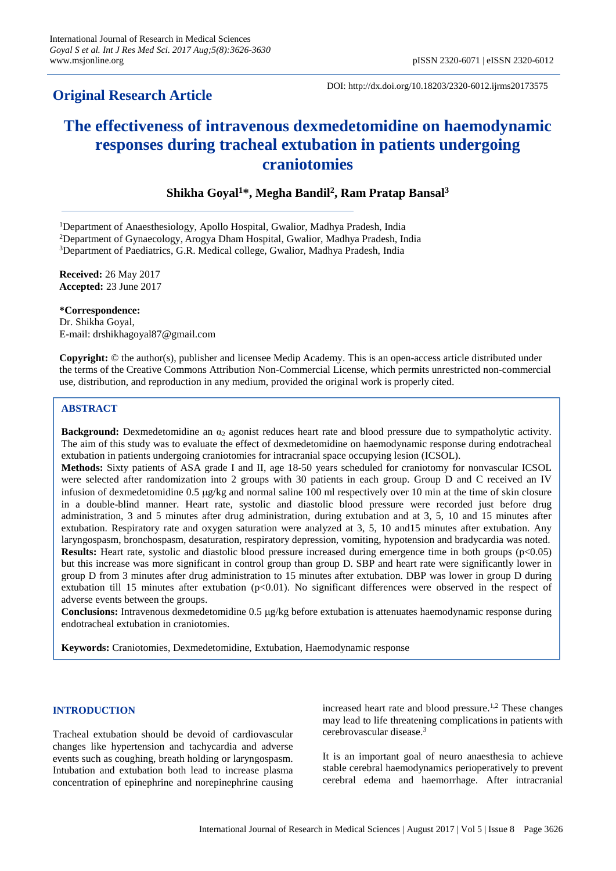## **Original Research Article**

DOI: http://dx.doi.org/10.18203/2320-6012.ijrms20173575

# **The effectiveness of intravenous dexmedetomidine on haemodynamic responses during tracheal extubation in patients undergoing craniotomies**

## **Shikha Goyal<sup>1</sup>\*, Megha Bandil<sup>2</sup> , Ram Pratap Bansal<sup>3</sup>**

<sup>1</sup>Department of Anaesthesiology, Apollo Hospital, Gwalior, Madhya Pradesh, India

<sup>2</sup>Department of Gynaecology, Arogya Dham Hospital, Gwalior, Madhya Pradesh, India

<sup>3</sup>Department of Paediatrics, G.R. Medical college, Gwalior, Madhya Pradesh, India

**Received:** 26 May 2017 **Accepted:** 23 June 2017

**\*Correspondence:**

Dr. Shikha Goyal, E-mail: drshikhagoyal87@gmail.com

**Copyright:** © the author(s), publisher and licensee Medip Academy. This is an open-access article distributed under the terms of the Creative Commons Attribution Non-Commercial License, which permits unrestricted non-commercial use, distribution, and reproduction in any medium, provided the original work is properly cited.

## **ABSTRACT**

**Background:** Dexmedetomidine an α<sub>2</sub> agonist reduces heart rate and blood pressure due to sympatholytic activity. The aim of this study was to evaluate the effect of dexmedetomidine on haemodynamic response during endotracheal extubation in patients undergoing craniotomies for intracranial space occupying lesion (ICSOL).

**Methods:** Sixty patients of ASA grade I and II, age 18-50 years scheduled for craniotomy for nonvascular ICSOL were selected after randomization into 2 groups with 30 patients in each group. Group D and C received an IV infusion of dexmedetomidine  $0.5 \mu g/kg$  and normal saline 100 ml respectively over 10 min at the time of skin closure in a double-blind manner. Heart rate, systolic and diastolic blood pressure were recorded just before drug administration, 3 and 5 minutes after drug administration, during extubation and at 3, 5, 10 and 15 minutes after extubation. Respiratory rate and oxygen saturation were analyzed at 3, 5, 10 and15 minutes after extubation. Any laryngospasm, bronchospasm, desaturation, respiratory depression, vomiting, hypotension and bradycardia was noted. **Results:** Heart rate, systolic and diastolic blood pressure increased during emergence time in both groups ( $p<0.05$ ) but this increase was more significant in control group than group D. SBP and heart rate were significantly lower in group D from 3 minutes after drug administration to 15 minutes after extubation. DBP was lower in group D during extubation till 15 minutes after extubation  $(p<0.01)$ . No significant differences were observed in the respect of adverse events between the groups.

**Conclusions:** Intravenous dexmedetomidine 0.5 g/kg before extubation is attenuates haemodynamic response during endotracheal extubation in craniotomies.

**Keywords:** Craniotomies, Dexmedetomidine, Extubation, Haemodynamic response

#### **INTRODUCTION**

Tracheal extubation should be devoid of cardiovascular changes like hypertension and tachycardia and adverse events such as coughing, breath holding or laryngospasm. Intubation and extubation both lead to increase plasma concentration of epinephrine and norepinephrine causing

increased heart rate and blood pressure. 1,2 These changes may lead to life threatening complicationsin patients with cerebrovascular disease. 3

It is an important goal of neuro anaesthesia to achieve stable cerebral haemodynamics perioperatively to prevent cerebral edema and haemorrhage. After intracranial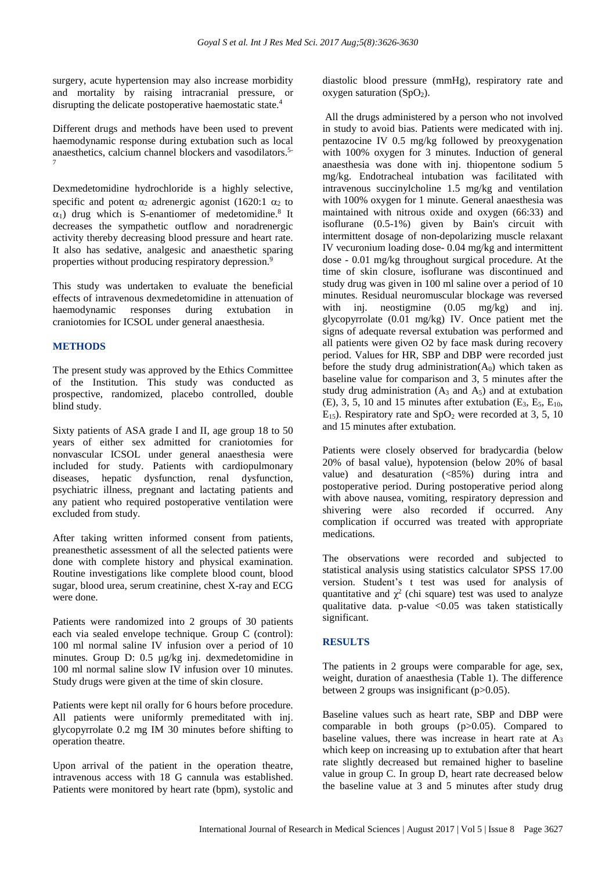surgery, acute hypertension may also increase morbidity and mortality by raising intracranial pressure, or disrupting the delicate postoperative haemostatic state.<sup>4</sup>

Different drugs and methods have been used to prevent haemodynamic response during extubation such as local anaesthetics, calcium channel blockers and vasodilators. 5- 7

Dexmedetomidine hydrochloride is a highly selective, specific and potent  $\alpha_2$  adrenergic agonist (1620:1  $\alpha_2$  to  $\alpha_1$ ) drug which is S-enantiomer of medetomidine.<sup>8</sup> It decreases the sympathetic outflow and noradrenergic activity thereby decreasing blood pressure and heart rate. It also has sedative, analgesic and anaesthetic sparing properties without producing respiratory depression.<sup>9</sup>

This study was undertaken to evaluate the beneficial effects of intravenous dexmedetomidine in attenuation of haemodynamic responses during extubation in craniotomies for ICSOL under general anaesthesia.

## **METHODS**

The present study was approved by the Ethics Committee of the Institution. This study was conducted as prospective, randomized, placebo controlled, double blind study.

Sixty patients of ASA grade I and II, age group 18 to 50 years of either sex admitted for craniotomies for nonvascular ICSOL under general anaesthesia were included for study. Patients with cardiopulmonary diseases, hepatic dysfunction, renal dysfunction, psychiatric illness, pregnant and lactating patients and any patient who required postoperative ventilation were excluded from study.

After taking written informed consent from patients, preanesthetic assessment of all the selected patients were done with complete history and physical examination. Routine investigations like complete blood count, blood sugar, blood urea, serum creatinine, chest X-ray and ECG were done.

Patients were randomized into 2 groups of 30 patients each via sealed envelope technique. Group C (control): 100 ml normal saline IV infusion over a period of 10 minutes. Group D: 0.5 μg/kg inj. dexmedetomidine in 100 ml normal saline slow IV infusion over 10 minutes. Study drugs were given at the time of skin closure.

Patients were kept nil orally for 6 hours before procedure. All patients were uniformly premeditated with inj. glycopyrrolate 0.2 mg IM 30 minutes before shifting to operation theatre.

Upon arrival of the patient in the operation theatre, intravenous access with 18 G cannula was established. Patients were monitored by heart rate (bpm), systolic and diastolic blood pressure (mmHg), respiratory rate and oxygen saturation  $(SpO<sub>2</sub>)$ .

All the drugs administered by a person who not involved in study to avoid bias. Patients were medicated with inj. pentazocine IV 0.5 mg/kg followed by preoxygenation with 100% oxygen for 3 minutes. Induction of general anaesthesia was done with inj. thiopentone sodium 5 mg/kg. Endotracheal intubation was facilitated with intravenous succinylcholine 1.5 mg/kg and ventilation with 100% oxygen for 1 minute. General anaesthesia was maintained with nitrous oxide and oxygen (66:33) and isoflurane (0.5-1%) given by Bain's circuit with intermittent dosage of non-depolarizing muscle relaxant IV vecuronium loading dose- 0.04 mg/kg and intermittent dose - 0.01 mg/kg throughout surgical procedure. At the time of skin closure, isoflurane was discontinued and study drug was given in 100 ml saline over a period of 10 minutes. Residual neuromuscular blockage was reversed with inj. neostigmine (0.05 mg/kg) and inj. glycopyrrolate (0.01 mg/kg) IV. Once patient met the signs of adequate reversal extubation was performed and all patients were given O2 by face mask during recovery period. Values for HR, SBP and DBP were recorded just before the study drug administration( $A_0$ ) which taken as baseline value for comparison and 3, 5 minutes after the study drug administration  $(A_3 \text{ and } A_5)$  and at extubation  $(E)$ , 3, 5, 10 and 15 minutes after extubation  $(E_3, E_5, E_{10}, E_6)$  $E_{15}$ ). Respiratory rate and SpO<sub>2</sub> were recorded at 3, 5, 10 and 15 minutes after extubation.

Patients were closely observed for bradycardia (below 20% of basal value), hypotension (below 20% of basal value) and desaturation (<85%) during intra and postoperative period. During postoperative period along with above nausea, vomiting, respiratory depression and shivering were also recorded if occurred. Any complication if occurred was treated with appropriate medications.

The observations were recorded and subjected to statistical analysis using statistics calculator SPSS 17.00 version. Student's t test was used for analysis of quantitative and  $\chi^2$  (chi square) test was used to analyze qualitative data. p-value  $\langle 0.05 \rangle$  was taken statistically significant.

### **RESULTS**

The patients in 2 groups were comparable for age, sex, weight, duration of anaesthesia (Table 1). The difference between 2 groups was insignificant (p>0.05).

Baseline values such as heart rate, SBP and DBP were comparable in both groups (p>0.05). Compared to baseline values, there was increase in heart rate at  $A_3$ which keep on increasing up to extubation after that heart rate slightly decreased but remained higher to baseline value in group C. In group D, heart rate decreased below the baseline value at 3 and 5 minutes after study drug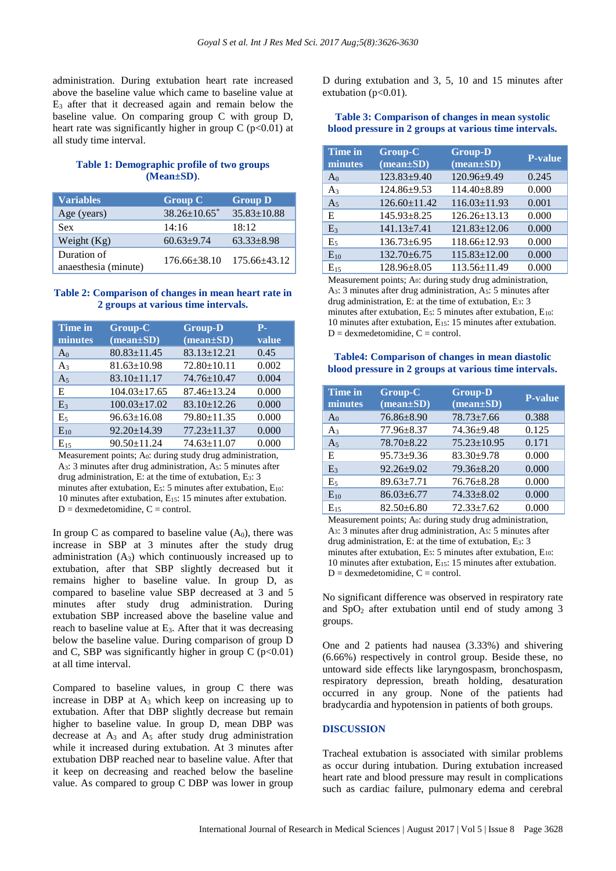administration. During extubation heart rate increased above the baseline value which came to baseline value at  $E_3$  after that it decreased again and remain below the baseline value. On comparing group C with group D, heart rate was significantly higher in group  $C$  (p<0.01) at all study time interval.

## **Table 1: Demographic profile of two groups (Mean±SD)**.

| <b>Variables</b>                    | <b>Group C</b>                 | <b>Group D</b>    |
|-------------------------------------|--------------------------------|-------------------|
| Age (years)                         | $38.26 \pm 10.65$ <sup>*</sup> | $35.83 \pm 10.88$ |
| Sex                                 | 14:16                          | 18:12             |
| Weight $(Kg)$                       | $60.63 + 9.74$                 | $63.33 \pm 8.98$  |
| Duration of<br>anaesthesia (minute) | $176.66 \pm 38.10$             | 175.66±43.12      |

### **Table 2: Comparison of changes in mean heart rate in 2 groups at various time intervals.**

| <b>Time in</b><br>minutes | <b>Group-C</b><br>$(\text{mean}\pm\text{SD})$ | <b>Group-D</b><br>$(mean \pm SD)$ | Р.<br>value |
|---------------------------|-----------------------------------------------|-----------------------------------|-------------|
| A <sub>0</sub>            | $80.83 \pm 11.45$                             | $83.13 \pm 12.21$                 | 0.45        |
| $A_3$                     | $81.63 \pm 10.98$                             | $72.80 \pm 10.11$                 | 0.002       |
| A <sub>5</sub>            | $83.10 \pm 11.17$                             | 74.76±10.47                       | 0.004       |
| E                         | $104.03 \pm 17.65$                            | $87.46 \pm 13.24$                 | 0.000       |
| E <sub>3</sub>            | $100.03 \pm 17.02$                            | 83.10±12.26                       | 0.000       |
| E <sub>5</sub>            | $96.63 \pm 16.08$                             | 79.80±11.35                       | 0.000       |
| $E_{10}$                  | 92.20±14.39                                   | $77.23 \pm 11.37$                 | 0.000       |
| $E_{15}$                  | $90.50 \pm 11.24$                             | $74.63 \pm 11.07$                 | 0.000       |

Measurement points; A0: during study drug administration, A3: 3 minutes after drug administration, A5: 5 minutes after drug administration, E: at the time of extubation, E3: 3 minutes after extubation,  $E_5$ : 5 minutes after extubation,  $E_{10}$ : 10 minutes after extubation, E15: 15 minutes after extubation.  $D =$  dexmedetomidine,  $C =$  control.

In group C as compared to baseline value  $(A_0)$ , there was increase in SBP at 3 minutes after the study drug administration  $(A_3)$  which continuously increased up to extubation, after that SBP slightly decreased but it remains higher to baseline value. In group D, as compared to baseline value SBP decreased at 3 and 5 minutes after study drug administration. During extubation SBP increased above the baseline value and reach to baseline value at  $E_3$ . After that it was decreasing below the baseline value. During comparison of group D and C, SBP was significantly higher in group C  $(p<0.01)$ at all time interval.

Compared to baseline values, in group C there was increase in DBP at A<sup>3</sup> which keep on increasing up to extubation. After that DBP slightly decrease but remain higher to baseline value. In group D, mean DBP was decrease at  $A_3$  and  $A_5$  after study drug administration while it increased during extubation. At 3 minutes after extubation DBP reached near to baseline value. After that it keep on decreasing and reached below the baseline value. As compared to group C DBP was lower in group D during extubation and 3, 5, 10 and 15 minutes after extubation ( $p<0.01$ ).

### **Table 3: Comparison of changes in mean systolic blood pressure in 2 groups at various time intervals.**

| Time in<br>minutes | Group-C<br>$(mean \pm SD)$ | <b>Group-D</b><br>$(mean \pm SD)$ | P-value |
|--------------------|----------------------------|-----------------------------------|---------|
| $A_0$              | 123.83±9.40                | 120.96±9.49                       | 0.245   |
| $A_3$              | 124.86±9.53                | 114.40±8.89                       | 0.000   |
| A <sub>5</sub>     | $126.60 \pm 11.42$         | $116.03 \pm 11.93$                | 0.001   |
| E                  | $145.93 \pm 8.25$          | $126.26 \pm 13.13$                | 0.000   |
| E <sub>3</sub>     | $141.13 \pm 7.41$          | $121.83 \pm 12.06$                | 0.000   |
| E <sub>5</sub>     | $136.73 \pm 6.95$          | $118.66 \pm 12.93$                | 0.000   |
| $E_{10}$           | 132.70±6.75                | $115.83 \pm 12.00$                | 0.000   |
| $E_{15}$           | $128.96 \pm 8.05$          | $113.56 \pm 11.49$                | 0.000   |

Measurement points; A0: during study drug administration, A3: 3 minutes after drug administration, A5: 5 minutes after drug administration, E: at the time of extubation, E3: 3 minutes after extubation,  $E_5$ : 5 minutes after extubation,  $E_{10}$ : 10 minutes after extubation, E15: 15 minutes after extubation.  $D =$  dexmedetomidine,  $C =$  control.

## **Table4: Comparison of changes in mean diastolic blood pressure in 2 groups at various time intervals.**

| <b>Time in</b><br>minutes | Group-C<br>$(\text{mean}\pm S\textbf{D})$ | <b>Group-D</b><br>$(mean \pm SD)$ | <b>P-value</b> |
|---------------------------|-------------------------------------------|-----------------------------------|----------------|
| $A_0$                     | $76.86 \pm 8.90$                          | $78.73 \pm 7.66$                  | 0.388          |
| $A_3$                     | $77.96 \pm 8.37$                          | 74.36±9.48                        | 0.125          |
| A <sub>5</sub>            | 78.70±8.22                                | $75.23 \pm 10.95$                 | 0.171          |
| E                         | $95.73 \pm 9.36$                          | $83.30+9.78$                      | 0.000          |
| E <sub>3</sub>            | $92.26 \pm 9.02$                          | $79.36 \pm 8.20$                  | 0.000          |
| E <sub>5</sub>            | $89.63 \pm 7.71$                          | $76.76 \pm 8.28$                  | 0.000          |
| $E_{10}$                  | $86.03 \pm 6.77$                          | $74.33 \pm 8.02$                  | 0.000          |
| $E_{15}$                  | $82.50 \pm 6.80$                          | $72.33 \pm 7.62$                  | 0.000          |

Measurement points; A0: during study drug administration, A3: 3 minutes after drug administration, A5: 5 minutes after drug administration, E: at the time of extubation, E3: 3 minutes after extubation,  $E_5$ : 5 minutes after extubation,  $E_{10}$ : 10 minutes after extubation, E15: 15 minutes after extubation.  $D =$  dexmedetomidine,  $C =$  control.

No significant difference was observed in respiratory rate and  $SpO<sub>2</sub>$  after extubation until end of study among 3 groups.

One and 2 patients had nausea (3.33%) and shivering (6.66%) respectively in control group. Beside these, no untoward side effects like laryngospasm, bronchospasm, respiratory depression, breath holding, desaturation occurred in any group. None of the patients had bradycardia and hypotension in patients of both groups.

## **DISCUSSION**

Tracheal extubation is associated with similar problems as occur during intubation. During extubation increased heart rate and blood pressure may result in complications such as cardiac failure, pulmonary edema and cerebral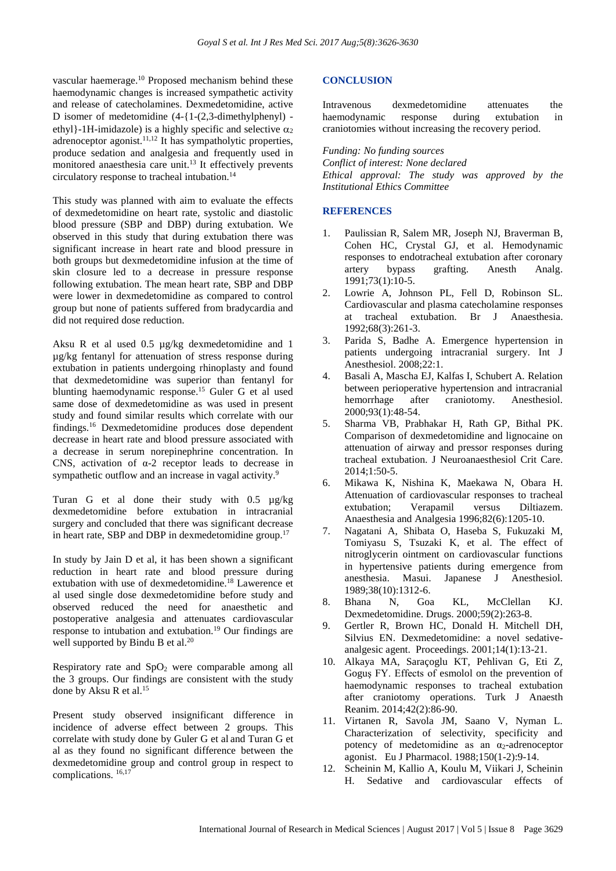vascular haemerage.<sup>10</sup> Proposed mechanism behind these haemodynamic changes is increased sympathetic activity and release of catecholamines. Dexmedetomidine, active D isomer of medetomidine  $(4-1-2,3-dimethylphenyl)$  ethyl}-1H-imidazole) is a highly specific and selective  $\alpha_2$ adrenoceptor agonist.<sup>11,12</sup> It has sympatholytic properties, produce sedation and analgesia and frequently used in monitored anaesthesia care unit. <sup>13</sup> It effectively prevents circulatory response to tracheal intubation. 14

This study was planned with aim to evaluate the effects of dexmedetomidine on heart rate, systolic and diastolic blood pressure (SBP and DBP) during extubation. We observed in this study that during extubation there was significant increase in heart rate and blood pressure in both groups but dexmedetomidine infusion at the time of skin closure led to a decrease in pressure response following extubation. The mean heart rate, SBP and DBP were lower in dexmedetomidine as compared to control group but none of patients suffered from bradycardia and did not required dose reduction.

Aksu R et al used 0.5 µg/kg dexmedetomidine and 1 µg/kg fentanyl for attenuation of stress response during extubation in patients undergoing rhinoplasty and found that dexmedetomidine was superior than fentanyl for blunting haemodynamic response.<sup>15</sup> Guler G et al used same dose of dexmedetomidine as was used in present study and found similar results which correlate with our findings.<sup>16</sup> Dexmedetomidine produces dose dependent decrease in heart rate and blood pressure associated with a decrease in serum norepinephrine concentration. In CNS, activation of α-2 receptor leads to decrease in sympathetic outflow and an increase in vagal activity.<sup>9</sup>

Turan G et al done their study with 0.5 µg/kg dexmedetomidine before extubation in intracranial surgery and concluded that there was significant decrease in heart rate, SBP and DBP in dexmedetomidine group.<sup>17</sup>

In study by Jain D et al, it has been shown a significant reduction in heart rate and blood pressure during extubation with use of dexmedetomidine. <sup>18</sup> Lawerence et al used single dose dexmedetomidine before study and observed reduced the need for anaesthetic and postoperative analgesia and attenuates cardiovascular response to intubation and extubation.<sup>19</sup> Our findings are well supported by Bindu B et al.<sup>20</sup>

Respiratory rate and  $SpO<sub>2</sub>$  were comparable among all the 3 groups. Our findings are consistent with the study done by Aksu R et al. 15

Present study observed insignificant difference in incidence of adverse effect between 2 groups. This correlate with study done by Guler G et al and Turan G et al as they found no significant difference between the dexmedetomidine group and control group in respect to complications. 16,17

## **CONCLUSION**

Intravenous dexmedetomidine attenuates the haemodynamic response during extubation in craniotomies without increasing the recovery period.

*Funding: No funding sources Conflict of interest: None declared Ethical approval: The study was approved by the Institutional Ethics Committee*

## **REFERENCES**

- 1. Paulissian R, Salem MR, Joseph NJ, Braverman B, Cohen HC, Crystal GJ, et al. Hemodynamic responses to endotracheal extubation after coronary artery bypass grafting. Anesth Analg. 1991;73(1):10-5.
- 2. Lowrie A, Johnson PL, Fell D, Robinson SL. Cardiovascular and plasma catecholamine responses at tracheal extubation. Br J Anaesthesia. 1992;68(3):261-3.
- 3. Parida S, Badhe A. Emergence hypertension in patients undergoing intracranial surgery. Int J Anesthesiol. 2008;22:1.
- 4. Basali A, Mascha EJ, Kalfas I, Schubert A. Relation between perioperative hypertension and intracranial hemorrhage after craniotomy. Anesthesiol. 2000;93(1):48-54.
- 5. Sharma VB, Prabhakar H, Rath GP, Bithal PK. Comparison of dexmedetomidine and lignocaine on attenuation of airway and pressor responses during tracheal extubation. J Neuroanaesthesiol Crit Care. 2014;1:50-5.
- 6. Mikawa K, Nishina K, Maekawa N, Obara H. Attenuation of cardiovascular responses to tracheal extubation; Verapamil versus Diltiazem. Anaesthesia and Analgesia 1996;82(6):1205-10.
- 7. Nagatani A, Shibata O, Haseba S, Fukuzaki M, Tomiyasu S, Tsuzaki K, et al. The effect of nitroglycerin ointment on cardiovascular functions in hypertensive patients during emergence from anesthesia. Masui. Japanese J Anesthesiol. 1989;38(10):1312-6.
- 8. Bhana N, Goa KL, McClellan KJ. Dexmedetomidine. Drugs. 2000;59(2):263-8.
- 9. Gertler R, Brown HC, Donald H. Mitchell DH, Silvius EN. Dexmedetomidine: a novel sedativeanalgesic agent. Proceedings. 2001;14(1):13-21.
- 10. Alkaya MA, Saraçoglu KT, Pehlivan G, Eti Z, Goguş FY. Effects of esmolol on the prevention of haemodynamic responses to tracheal extubation after craniotomy operations. Turk J Anaesth Reanim. 2014;42(2):86-90.
- 11. Virtanen R, Savola JM, Saano V, Nyman L. Characterization of selectivity, specificity and potency of medetomidine as an  $\alpha_2$ -adrenoceptor agonist. Eu J Pharmacol. 1988;150(1-2):9-14.
- 12. Scheinin M, Kallio A, Koulu M, Viikari J, Scheinin H. Sedative and cardiovascular effects of